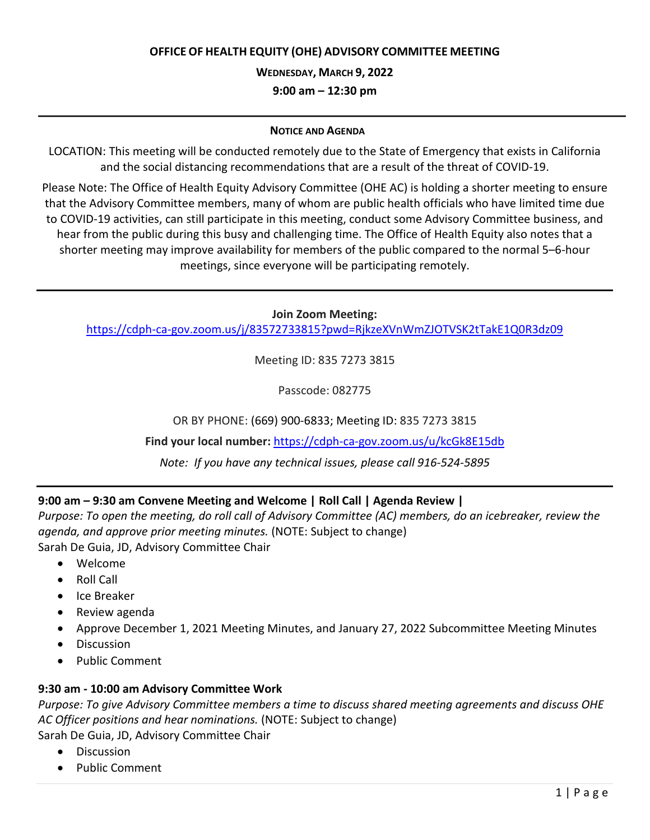### **OFFICE OF HEALTH EQUITY (OHE) ADVISORY COMMITTEE MEETING**

**WEDNESDAY, MARCH 9, 2022** 

**9:00 am – 12:30 pm**

#### **NOTICE AND AGENDA**

LOCATION: This meeting will be conducted remotely due to the State of Emergency that exists in California and the social distancing recommendations that are a result of the threat of COVID-19.

Please Note: The Office of Health Equity Advisory Committee (OHE AC) is holding a shorter meeting to ensure that the Advisory Committee members, many of whom are public health officials who have limited time due to COVID-19 activities, can still participate in this meeting, conduct some Advisory Committee business, and hear from the public during this busy and challenging time. The Office of Health Equity also notes that a shorter meeting may improve availability for members of the public compared to the normal 5–6-hour meetings, since everyone will be participating remotely.

**Join Zoom Meeting:**

<https://cdph-ca-gov.zoom.us/j/83572733815?pwd=RjkzeXVnWmZJOTVSK2tTakE1Q0R3dz09>

Meeting ID: 835 7273 3815

Passcode: 082775

OR BY PHONE: (669) 900-6833; Meeting ID: 835 7273 3815

**Find your local number:** <https://cdph-ca-gov.zoom.us/u/kcGk8E15db>

*Note: If you have any technical issues, please call 916-524-5895*

# **9:00 am – 9:30 am Convene Meeting and Welcome | Roll Call | Agenda Review |**

*Purpose: To open the meeting, do roll call of Advisory Committee (AC) members, do an icebreaker, review the agenda, and approve prior meeting minutes.* (NOTE: Subject to change) Sarah De Guia, JD, Advisory Committee Chair

- Welcome
- Roll Call
- Ice Breaker
- Review agenda
- Approve December 1, 2021 Meeting Minutes, and January 27, 2022 Subcommittee Meeting Minutes
- Discussion
- Public Comment

#### **9:30 am - 10:00 am Advisory Committee Work**

*Purpose: To give Advisory Committee members a time to discuss shared meeting agreements and discuss OHE AC Officer positions and hear nominations.* (NOTE: Subject to change)

Sarah De Guia, JD, Advisory Committee Chair

- Discussion
- Public Comment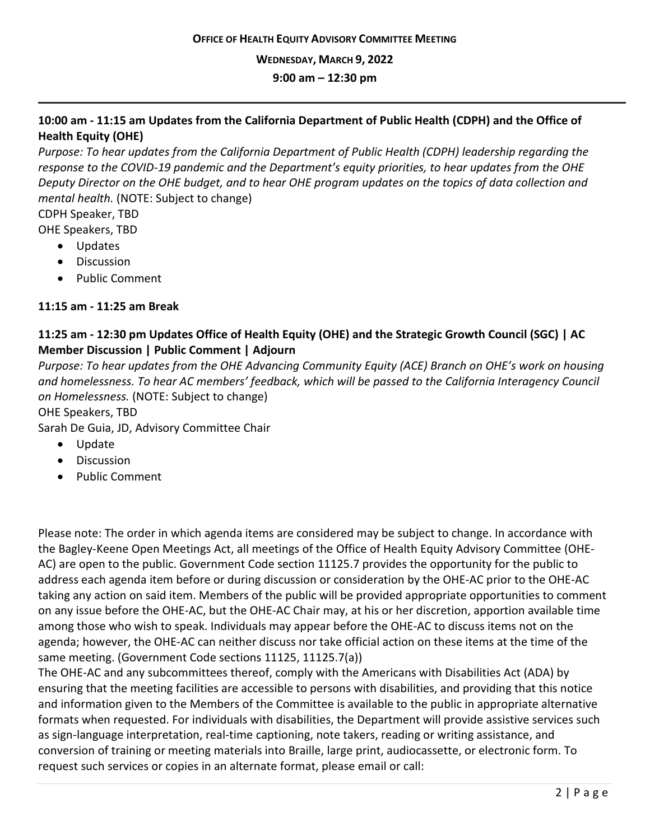**WEDNESDAY, MARCH 9, 2022**

**9:00 am – 12:30 pm**

## **10:00 am - 11:15 am Updates from the California Department of Public Health (CDPH) and the Office of Health Equity (OHE)**

*Purpose: To hear updates from the California Department of Public Health (CDPH) leadership regarding the response to the COVID-19 pandemic and the Department's equity priorities, to hear updates from the OHE Deputy Director on the OHE budget, and to hear OHE program updates on the topics of data collection and mental health.* (NOTE: Subject to change)

CDPH Speaker, TBD

OHE Speakers, TBD

- Updates
- Discussion
- Public Comment

### **11:15 am - 11:25 am Break**

# **11:25 am - 12:30 pm Updates Office of Health Equity (OHE) and the Strategic Growth Council (SGC) | AC Member Discussion | Public Comment | Adjourn**

*Purpose: To hear updates from the OHE Advancing Community Equity (ACE) Branch on OHE's work on housing and homelessness. To hear AC members' feedback, which will be passed to the California Interagency Council on Homelessness.* (NOTE: Subject to change)

OHE Speakers, TBD

Sarah De Guia, JD, Advisory Committee Chair

- Update
- Discussion
- Public Comment

Please note: The order in which agenda items are considered may be subject to change. In accordance with the Bagley-Keene Open Meetings Act, all meetings of the Office of Health Equity Advisory Committee (OHE-AC) are open to the public. Government Code section 11125.7 provides the opportunity for the public to address each agenda item before or during discussion or consideration by the OHE-AC prior to the OHE-AC taking any action on said item. Members of the public will be provided appropriate opportunities to comment on any issue before the OHE-AC, but the OHE-AC Chair may, at his or her discretion, apportion available time among those who wish to speak. Individuals may appear before the OHE-AC to discuss items not on the agenda; however, the OHE-AC can neither discuss nor take official action on these items at the time of the same meeting. (Government Code sections 11125, 11125.7(a))

The OHE-AC and any subcommittees thereof, comply with the Americans with Disabilities Act (ADA) by ensuring that the meeting facilities are accessible to persons with disabilities, and providing that this notice and information given to the Members of the Committee is available to the public in appropriate alternative formats when requested. For individuals with disabilities, the Department will provide assistive services such as sign-language interpretation, real-time captioning, note takers, reading or writing assistance, and conversion of training or meeting materials into Braille, large print, audiocassette, or electronic form. To request such services or copies in an alternate format, please email or call: